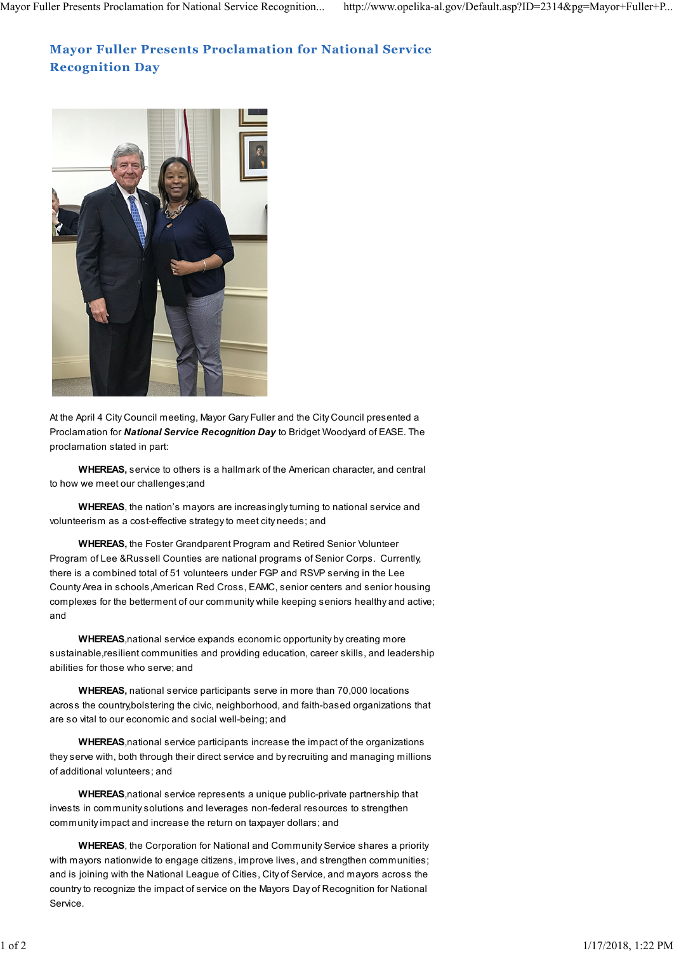## **Mayor Fuller Presents Proclamation for National Service Recognition Day**



At the April 4 City Council meeting, Mayor Gary Fuller and the City Council presented a Proclamation for *National Service Recognition Day* to Bridget Woodyard of EASE. The proclamation stated in part:

**WHEREAS,** service to others is a hallmark of the American character, and central to how we meet our challenges;and

**WHEREAS**, the nation's mayors are increasingly turning to national service and volunteerism as a cost-effective strategy to meet city needs; and

**WHEREAS,** the Foster Grandparent Program and Retired Senior Volunteer Program of Lee &Russell Counties are national programs of Senior Corps. Currently, there is a combined total of 51 volunteers under FGP and RSVP serving in the Lee County Area in schools,American Red Cross, EAMC, senior centers and senior housing complexes for the betterment of our community while keeping seniors healthy and active; and

**WHEREAS**,national service expands economic opportunity by creating more sustainable,resilient communities and providing education, career skills, and leadership abilities for those who serve; and

**WHEREAS,** national service participants serve in more than 70,000 locations across the country,bolstering the civic, neighborhood, and faith-based organizations that are so vital to our economic and social well-being; and

**WHEREAS**,national service participants increase the impact of the organizations they serve with, both through their direct service and by recruiting and managing millions of additional volunteers; and

**WHEREAS**,national service represents a unique public-private partnership that invests in community solutions and leverages non-federal resources to strengthen community impact and increase the return on taxpayer dollars; and

**WHEREAS**, the Corporation for National and Community Service shares a priority with mayors nationwide to engage citizens, improve lives, and strengthen communities; and is joining with the National League of Cities, City of Service, and mayors across the country to recognize the impact of service on the Mayors Day of Recognition for National Service.